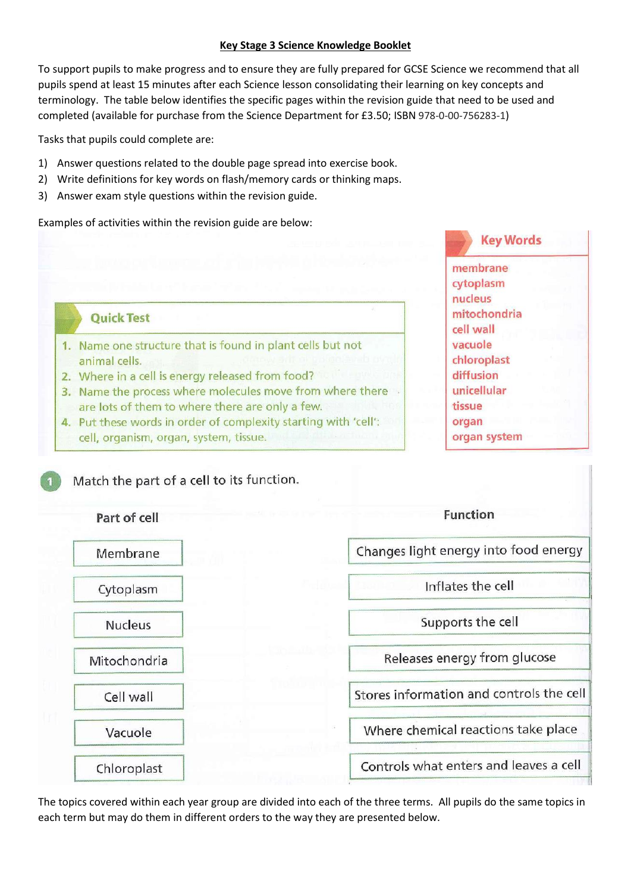## **Key Stage 3 Science Knowledge Booklet**

To support pupils to make progress and to ensure they are fully prepared for GCSE Science we recommend that all pupils spend at least 15 minutes after each Science lesson consolidating their learning on key concepts and terminology. The table below identifies the specific pages within the revision guide that need to be used and completed (available for purchase from the Science Department for £3.50; ISBN 978-0-00-756283-1)

Tasks that pupils could complete are:

- 1) Answer questions related to the double page spread into exercise book.
- 2) Write definitions for key words on flash/memory cards or thinking maps.
- 3) Answer exam style questions within the revision guide.

Examples of activities within the revision guide are below:

**Key Words** membrane cytoplasm nucleus mitochondria cell wall vacuole chloroplast diffusion unicellular tissue organ organ system

## **Ouick Test**

- 1. Name one structure that is found in plant cells but not animal cells.
- 2. Where in a cell is energy released from food?
- 3. Name the process where molecules move from where there are lots of them to where there are only a few.
- 4. Put these words in order of complexity starting with 'cell': cell, organism, organ, system, tissue.

## Match the part of a cell to its function.



The topics covered within each year group are divided into each of the three terms. All pupils do the same topics in each term but may do them in different orders to the way they are presented below.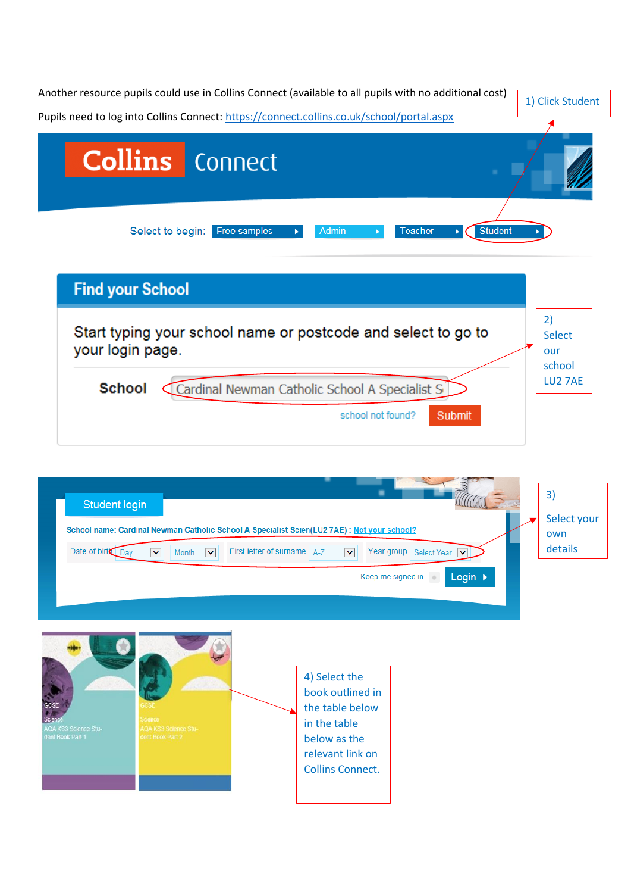| Another resource pupils could use in Collins Connect (available to all pupils with no additional cost)                                                                                                                                                                                          | 1) Click Student                     |
|-------------------------------------------------------------------------------------------------------------------------------------------------------------------------------------------------------------------------------------------------------------------------------------------------|--------------------------------------|
| Pupils need to log into Collins Connect: https://connect.collins.co.uk/school/portal.aspx<br><b>Collins</b> Connect                                                                                                                                                                             |                                      |
|                                                                                                                                                                                                                                                                                                 |                                      |
| <b>Student</b><br>Select to begin: Free samples<br>Admin<br>Teacher                                                                                                                                                                                                                             |                                      |
| <b>Find your School</b>                                                                                                                                                                                                                                                                         |                                      |
| Start typing your school name or postcode and select to go to<br>your login page.                                                                                                                                                                                                               | 2)<br><b>Select</b><br>our<br>school |
| <b>School</b><br>Cardinal Newman Catholic School A Specialist S                                                                                                                                                                                                                                 | LU2 7AE                              |
| school not found?<br>Submit                                                                                                                                                                                                                                                                     |                                      |
| <b>Student login</b>                                                                                                                                                                                                                                                                            | 3)                                   |
| School name: Cardinal Newman Catholic School A Specialist Scien(LU2 7AE) : Not your school?<br>Date of birt Day<br>First letter of surname<br>$\blacktriangledown$<br>Year group<br><b>Select Year</b><br>$\vert \mathbf{v} \vert$<br>$A-Z$<br>$\checkmark$<br>Month<br>$\overline{\mathsf{v}}$ | Select your<br>own<br>details        |
| Login ><br>Keep me signed in                                                                                                                                                                                                                                                                    |                                      |

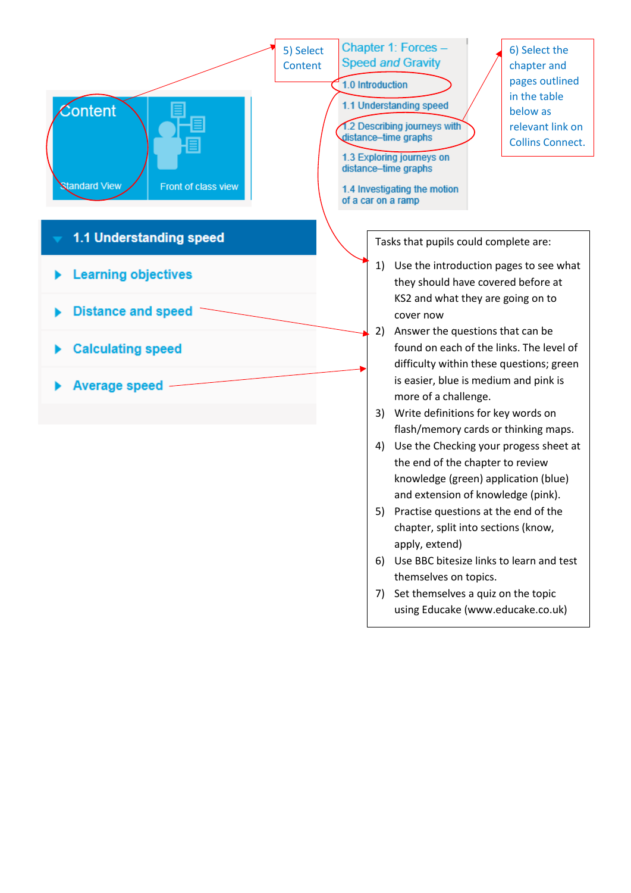

- 5) Practise questions at the end of the chapter, split into sections (know, apply, extend)
- 6) Use BBC bitesize links to learn and test themselves on topics.
- 7) Set themselves a quiz on the topic using Educake (www.educake.co.uk)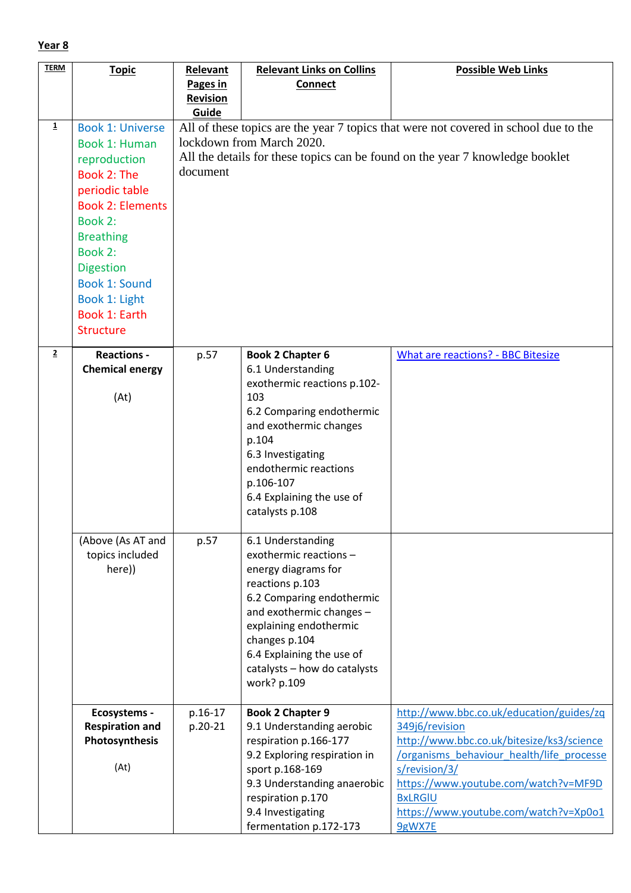| <b>TERM</b>    | <b>Topic</b>            | <b>Relevant</b> | <b>Relevant Links on Collins</b>             | <b>Possible Web Links</b>                                                            |
|----------------|-------------------------|-----------------|----------------------------------------------|--------------------------------------------------------------------------------------|
|                |                         | Pages in        | <b>Connect</b>                               |                                                                                      |
|                |                         | <b>Revision</b> |                                              |                                                                                      |
|                |                         | Guide           |                                              |                                                                                      |
| $\mathbf{1}$   | <b>Book 1: Universe</b> |                 |                                              | All of these topics are the year 7 topics that were not covered in school due to the |
|                | Book 1: Human           |                 | lockdown from March 2020.                    |                                                                                      |
|                | reproduction            |                 |                                              | All the details for these topics can be found on the year 7 knowledge booklet        |
|                | Book 2: The             | document        |                                              |                                                                                      |
|                | periodic table          |                 |                                              |                                                                                      |
|                | <b>Book 2: Elements</b> |                 |                                              |                                                                                      |
|                | Book 2:                 |                 |                                              |                                                                                      |
|                |                         |                 |                                              |                                                                                      |
|                | <b>Breathing</b>        |                 |                                              |                                                                                      |
|                | Book 2:                 |                 |                                              |                                                                                      |
|                | <b>Digestion</b>        |                 |                                              |                                                                                      |
|                | <b>Book 1: Sound</b>    |                 |                                              |                                                                                      |
|                | Book 1: Light           |                 |                                              |                                                                                      |
|                | Book 1: Earth           |                 |                                              |                                                                                      |
|                | <b>Structure</b>        |                 |                                              |                                                                                      |
| $\overline{2}$ | <b>Reactions -</b>      |                 |                                              | <b>What are reactions? - BBC Bitesize</b>                                            |
|                | <b>Chemical energy</b>  | p.57            | <b>Book 2 Chapter 6</b><br>6.1 Understanding |                                                                                      |
|                |                         |                 | exothermic reactions p.102-                  |                                                                                      |
|                | (At)                    |                 | 103                                          |                                                                                      |
|                |                         |                 | 6.2 Comparing endothermic                    |                                                                                      |
|                |                         |                 | and exothermic changes                       |                                                                                      |
|                |                         |                 | p.104                                        |                                                                                      |
|                |                         |                 | 6.3 Investigating                            |                                                                                      |
|                |                         |                 | endothermic reactions                        |                                                                                      |
|                |                         |                 | p.106-107                                    |                                                                                      |
|                |                         |                 | 6.4 Explaining the use of                    |                                                                                      |
|                |                         |                 | catalysts p.108                              |                                                                                      |
|                |                         |                 |                                              |                                                                                      |
|                | (Above (As AT and       | p.57            | 6.1 Understanding                            |                                                                                      |
|                | topics included         |                 | exothermic reactions -                       |                                                                                      |
|                | here))                  |                 | energy diagrams for                          |                                                                                      |
|                |                         |                 | reactions p.103                              |                                                                                      |
|                |                         |                 | 6.2 Comparing endothermic                    |                                                                                      |
|                |                         |                 | and exothermic changes -                     |                                                                                      |
|                |                         |                 | explaining endothermic                       |                                                                                      |
|                |                         |                 | changes p.104                                |                                                                                      |
|                |                         |                 | 6.4 Explaining the use of                    |                                                                                      |
|                |                         |                 | catalysts - how do catalysts<br>work? p.109  |                                                                                      |
|                |                         |                 |                                              |                                                                                      |
|                | <b>Ecosystems -</b>     | p.16-17         | <b>Book 2 Chapter 9</b>                      | http://www.bbc.co.uk/education/guides/zq                                             |
|                | <b>Respiration and</b>  | p.20-21         | 9.1 Understanding aerobic                    | 349j6/revision                                                                       |
|                | Photosynthesis          |                 | respiration p.166-177                        | http://www.bbc.co.uk/bitesize/ks3/science                                            |
|                |                         |                 | 9.2 Exploring respiration in                 | /organisms behaviour health/life processe                                            |
|                | (At)                    |                 | sport p.168-169                              | s/revision/3/                                                                        |
|                |                         |                 | 9.3 Understanding anaerobic                  | https://www.youtube.com/watch?v=MF9D                                                 |
|                |                         |                 | respiration p.170                            | <b>BxLRGIU</b>                                                                       |
|                |                         |                 | 9.4 Investigating                            | https://www.youtube.com/watch?v=Xp0o1                                                |
|                |                         |                 | fermentation p.172-173                       | 9gWX7E                                                                               |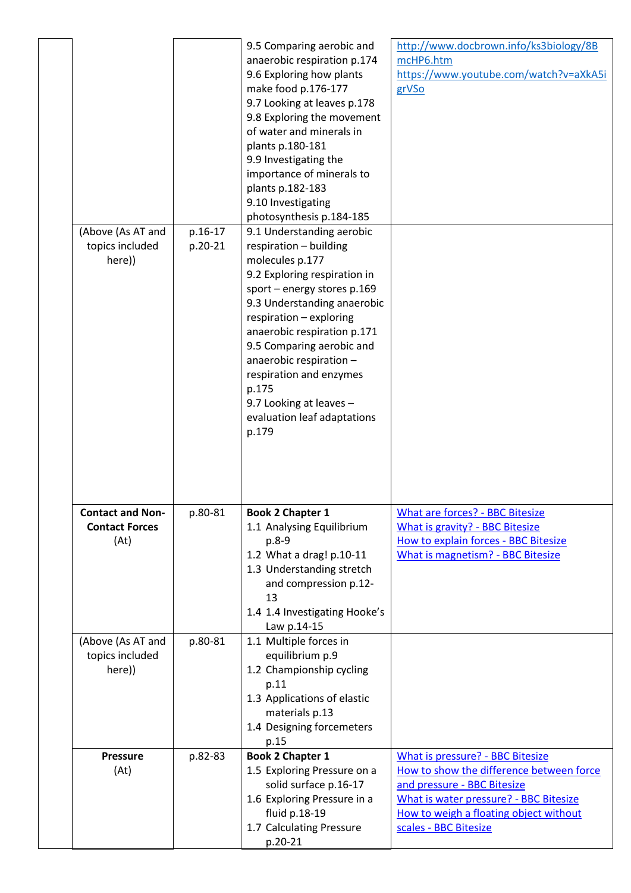|                                                          |                    | 9.5 Comparing aerobic and<br>anaerobic respiration p.174<br>9.6 Exploring how plants<br>make food p.176-177<br>9.7 Looking at leaves p.178<br>9.8 Exploring the movement<br>of water and minerals in<br>plants p.180-181<br>9.9 Investigating the<br>importance of minerals to<br>plants p.182-183<br>9.10 Investigating<br>photosynthesis p.184-185                                          | http://www.docbrown.info/ks3biology/8B<br>mcHP6.htm<br>https://www.youtube.com/watch?v=aXkA5i<br>grVSo                                                                                                                   |
|----------------------------------------------------------|--------------------|-----------------------------------------------------------------------------------------------------------------------------------------------------------------------------------------------------------------------------------------------------------------------------------------------------------------------------------------------------------------------------------------------|--------------------------------------------------------------------------------------------------------------------------------------------------------------------------------------------------------------------------|
| (Above (As AT and<br>topics included<br>here))           | p.16-17<br>p.20-21 | 9.1 Understanding aerobic<br>respiration - building<br>molecules p.177<br>9.2 Exploring respiration in<br>sport - energy stores p.169<br>9.3 Understanding anaerobic<br>respiration - exploring<br>anaerobic respiration p.171<br>9.5 Comparing aerobic and<br>anaerobic respiration -<br>respiration and enzymes<br>p.175<br>9.7 Looking at leaves -<br>evaluation leaf adaptations<br>p.179 |                                                                                                                                                                                                                          |
| <b>Contact and Non-</b><br><b>Contact Forces</b><br>(At) | p.80-81            | <b>Book 2 Chapter 1</b><br>1.1 Analysing Equilibrium<br>p.8-9<br>1.2 What a drag! p.10-11<br>1.3 Understanding stretch<br>and compression p.12-<br>13<br>1.4 1.4 Investigating Hooke's<br>Law p.14-15                                                                                                                                                                                         | What are forces? - BBC Bitesize<br><b>What is gravity? - BBC Bitesize</b><br>How to explain forces - BBC Bitesize<br>What is magnetism? - BBC Bitesize                                                                   |
| (Above (As AT and<br>topics included<br>here))           | p.80-81            | 1.1 Multiple forces in<br>equilibrium p.9<br>1.2 Championship cycling<br>p.11<br>1.3 Applications of elastic<br>materials p.13<br>1.4 Designing forcemeters<br>p.15                                                                                                                                                                                                                           |                                                                                                                                                                                                                          |
| <b>Pressure</b><br>(At)                                  | p.82-83            | <b>Book 2 Chapter 1</b><br>1.5 Exploring Pressure on a<br>solid surface p.16-17<br>1.6 Exploring Pressure in a<br>fluid p.18-19<br>1.7 Calculating Pressure<br>p.20-21                                                                                                                                                                                                                        | What is pressure? - BBC Bitesize<br>How to show the difference between force<br>and pressure - BBC Bitesize<br>What is water pressure? - BBC Bitesize<br>How to weigh a floating object without<br>scales - BBC Bitesize |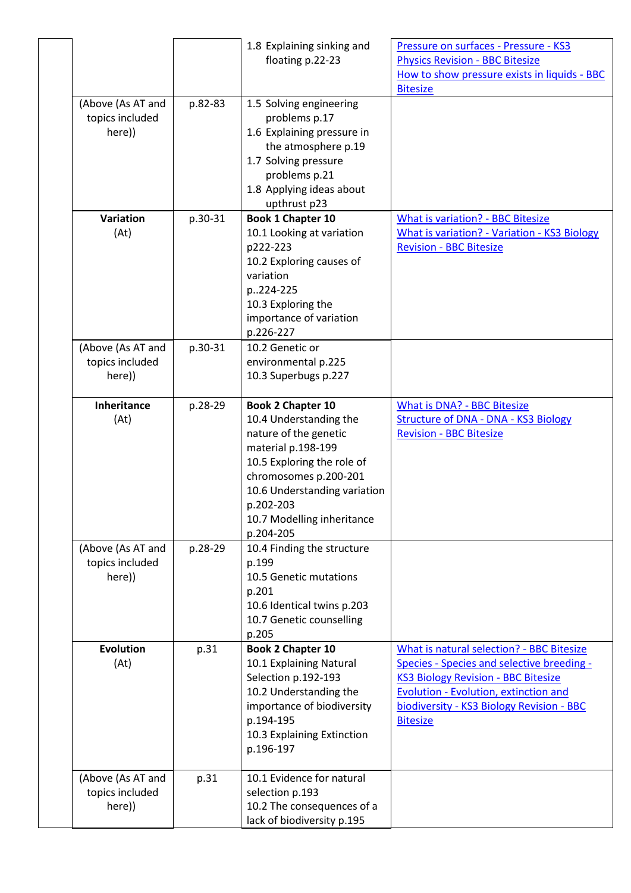|                                                |         | 1.8 Explaining sinking and<br>floating p.22-23                                                                                                                                                                                                   | Pressure on surfaces - Pressure - KS3<br><b>Physics Revision - BBC Bitesize</b><br>How to show pressure exists in liquids - BBC<br><b>Bitesize</b>                                                                                                           |
|------------------------------------------------|---------|--------------------------------------------------------------------------------------------------------------------------------------------------------------------------------------------------------------------------------------------------|--------------------------------------------------------------------------------------------------------------------------------------------------------------------------------------------------------------------------------------------------------------|
| (Above (As AT and<br>topics included<br>here)) | p.82-83 | 1.5 Solving engineering<br>problems p.17<br>1.6 Explaining pressure in<br>the atmosphere p.19<br>1.7 Solving pressure<br>problems p.21<br>1.8 Applying ideas about<br>upthrust p23                                                               |                                                                                                                                                                                                                                                              |
| Variation<br>(At)                              | p.30-31 | Book 1 Chapter 10<br>10.1 Looking at variation<br>p222-223<br>10.2 Exploring causes of<br>variation<br>p224-225<br>10.3 Exploring the<br>importance of variation<br>p.226-227                                                                    | <b>What is variation? - BBC Bitesize</b><br><b>What is variation? - Variation - KS3 Biology</b><br><b>Revision - BBC Bitesize</b>                                                                                                                            |
| (Above (As AT and<br>topics included<br>here)) | p.30-31 | 10.2 Genetic or<br>environmental p.225<br>10.3 Superbugs p.227                                                                                                                                                                                   |                                                                                                                                                                                                                                                              |
| Inheritance<br>(At)                            | p.28-29 | <b>Book 2 Chapter 10</b><br>10.4 Understanding the<br>nature of the genetic<br>material p.198-199<br>10.5 Exploring the role of<br>chromosomes p.200-201<br>10.6 Understanding variation<br>p.202-203<br>10.7 Modelling inheritance<br>p.204-205 | What is DNA? - BBC Bitesize<br><b>Structure of DNA - DNA - KS3 Biology</b><br><b>Revision - BBC Bitesize</b>                                                                                                                                                 |
| (Above (As AT and<br>topics included<br>here)) | p.28-29 | 10.4 Finding the structure<br>p.199<br>10.5 Genetic mutations<br>p.201<br>10.6 Identical twins p.203<br>10.7 Genetic counselling<br>p.205                                                                                                        |                                                                                                                                                                                                                                                              |
| <b>Evolution</b><br>(At)                       | p.31    | <b>Book 2 Chapter 10</b><br>10.1 Explaining Natural<br>Selection p.192-193<br>10.2 Understanding the<br>importance of biodiversity<br>p.194-195<br>10.3 Explaining Extinction<br>p.196-197                                                       | <b>What is natural selection? - BBC Bitesize</b><br>Species - Species and selective breeding -<br><b>KS3 Biology Revision - BBC Bitesize</b><br><b>Evolution - Evolution, extinction and</b><br>biodiversity - KS3 Biology Revision - BBC<br><b>Bitesize</b> |
| (Above (As AT and<br>topics included<br>here)) | p.31    | 10.1 Evidence for natural<br>selection p.193<br>10.2 The consequences of a<br>lack of biodiversity p.195                                                                                                                                         |                                                                                                                                                                                                                                                              |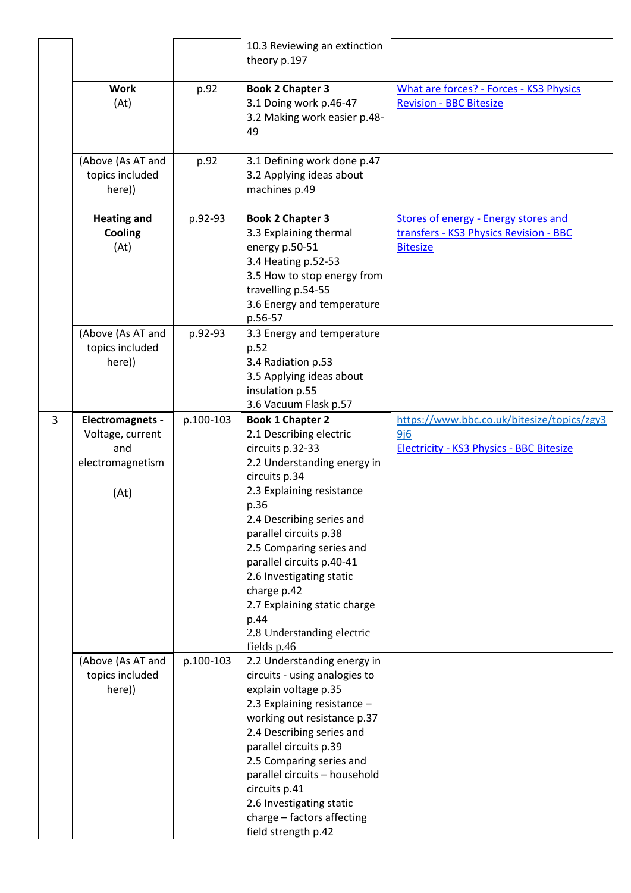|   |                                                                         |           | 10.3 Reviewing an extinction<br>theory p.197                                                                                                                                                                                                                                                                                                                                                                |                                                                                                          |
|---|-------------------------------------------------------------------------|-----------|-------------------------------------------------------------------------------------------------------------------------------------------------------------------------------------------------------------------------------------------------------------------------------------------------------------------------------------------------------------------------------------------------------------|----------------------------------------------------------------------------------------------------------|
|   | <b>Work</b><br>(At)                                                     | p.92      | <b>Book 2 Chapter 3</b><br>3.1 Doing work p.46-47<br>3.2 Making work easier p.48-<br>49                                                                                                                                                                                                                                                                                                                     | <b>What are forces? - Forces - KS3 Physics</b><br><b>Revision - BBC Bitesize</b>                         |
|   | (Above (As AT and<br>topics included<br>here))                          | p.92      | 3.1 Defining work done p.47<br>3.2 Applying ideas about<br>machines p.49                                                                                                                                                                                                                                                                                                                                    |                                                                                                          |
|   | <b>Heating and</b><br>Cooling<br>(At)                                   | p.92-93   | <b>Book 2 Chapter 3</b><br>3.3 Explaining thermal<br>energy p.50-51<br>3.4 Heating p.52-53<br>3.5 How to stop energy from<br>travelling p.54-55<br>3.6 Energy and temperature<br>p.56-57                                                                                                                                                                                                                    | <b>Stores of energy - Energy stores and</b><br>transfers - KS3 Physics Revision - BBC<br><b>Bitesize</b> |
|   | (Above (As AT and<br>topics included<br>here))                          | p.92-93   | 3.3 Energy and temperature<br>p.52<br>3.4 Radiation p.53<br>3.5 Applying ideas about<br>insulation p.55<br>3.6 Vacuum Flask p.57                                                                                                                                                                                                                                                                            |                                                                                                          |
| 3 | Electromagnets -<br>Voltage, current<br>and<br>electromagnetism<br>(At) | p.100-103 | <b>Book 1 Chapter 2</b><br>2.1 Describing electric<br>circuits p.32-33<br>2.2 Understanding energy in<br>circuits p.34<br>2.3 Explaining resistance<br>p.36<br>2.4 Describing series and<br>parallel circuits p.38<br>2.5 Comparing series and<br>parallel circuits p.40-41<br>2.6 Investigating static<br>charge p.42<br>2.7 Explaining static charge<br>p.44<br>2.8 Understanding electric<br>fields p.46 | https://www.bbc.co.uk/bitesize/topics/zgy3<br>9j6<br><b>Electricity - KS3 Physics - BBC Bitesize</b>     |
|   | (Above (As AT and<br>topics included<br>here))                          | p.100-103 | 2.2 Understanding energy in<br>circuits - using analogies to<br>explain voltage p.35<br>2.3 Explaining resistance -<br>working out resistance p.37<br>2.4 Describing series and<br>parallel circuits p.39<br>2.5 Comparing series and<br>parallel circuits - household<br>circuits p.41<br>2.6 Investigating static<br>charge - factors affecting<br>field strength p.42                                    |                                                                                                          |